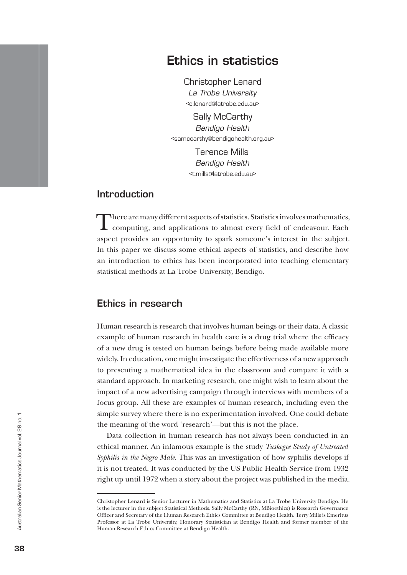# Ethics in statistics

Christopher Lenard *La Trobe University* <c.lenard@latrobe.edu.au>

Sally McCarthy *Bendigo Health* <samccarthy@bendigohealth.org.au>

> Terence Mills *Bendigo Health* <t.mills@latrobe.edu.au>

### **Introduction**

There are many different aspects of statistics. Statistics involves mathematics, computing, and applications to almost every field of endeavour. Each aspect provides an opportunity to spark someone's interest in the subject. In this paper we discuss some ethical aspects of statistics, and describe how an introduction to ethics has been incorporated into teaching elementary statistical methods at La Trobe University, Bendigo.

# Ethics in research

Human research is research that involves human beings or their data. A classic example of human research in health care is a drug trial where the efficacy of a new drug is tested on human beings before being made available more widely. In education, one might investigate the effectiveness of a new approach to presenting a mathematical idea in the classroom and compare it with a standard approach. In marketing research, one might wish to learn about the impact of a new advertising campaign through interviews with members of a focus group. All these are examples of human research, including even the simple survey where there is no experimentation involved. One could debate the meaning of the word 'research'—but this is not the place.

Data collection in human research has not always been conducted in an ethical manner. An infamous example is the study *Tuskegee Study of Untreated Syphilis in the Negro Male*. This was an investigation of how syphilis develops if it is not treated. It was conducted by the US Public Health Service from 1932 right up until 1972 when a story about the project was published in the media.

Christopher Lenard is Senior Lecturer in Mathematics and Statistics at La Trobe University Bendigo. He is the lecturer in the subject Statistical Methods. Sally McCarthy (RN, MBioethics) is Research Governance Officer and Secretary of the Human Research Ethics Committee at Bendigo Health. Terry Mills is Emeritus Professor at La Trobe University, Honorary Statistician at Bendigo Health and former member of the Human Research Ethics Committee at Bendigo Health.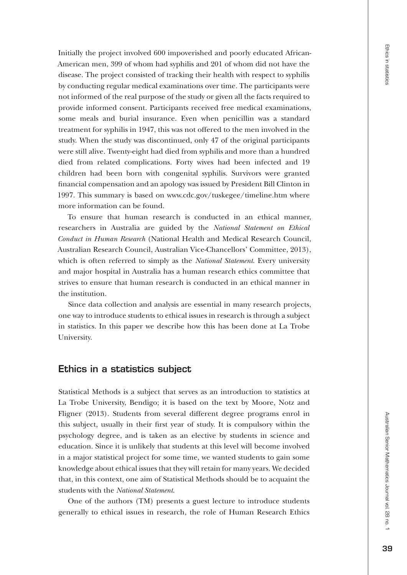Initially the project involved 600 impoverished and poorly educated African-American men, 399 of whom had syphilis and 201 of whom did not have the disease. The project consisted of tracking their health with respect to syphilis by conducting regular medical examinations over time. The participants were not informed of the real purpose of the study or given all the facts required to provide informed consent. Participants received free medical examinations, some meals and burial insurance. Even when penicillin was a standard treatment for syphilis in 1947, this was not offered to the men involved in the study. When the study was discontinued, only 47 of the original participants were still alive. Twenty-eight had died from syphilis and more than a hundred died from related complications. Forty wives had been infected and 19 children had been born with congenital syphilis. Survivors were granted financial compensation and an apology was issued by President Bill Clinton in 1997. This summary is based on www.cdc.gov/tuskegee/timeline.htm where more information can be found.

To ensure that human research is conducted in an ethical manner, researchers in Australia are guided by the *National Statement on Ethical Conduct in Human Research* (National Health and Medical Research Council, Australian Research Council, Australian Vice-Chancellors' Committee, 2013), which is often referred to simply as the *National Statement*. Every university and major hospital in Australia has a human research ethics committee that strives to ensure that human research is conducted in an ethical manner in the institution.

Since data collection and analysis are essential in many research projects, one way to introduce students to ethical issues in research is through a subject in statistics. In this paper we describe how this has been done at La Trobe University.

#### Ethics in a statistics subject

Statistical Methods is a subject that serves as an introduction to statistics at La Trobe University, Bendigo; it is based on the text by Moore, Notz and Fligner (2013). Students from several different degree programs enrol in this subject, usually in their first year of study. It is compulsory within the psychology degree, and is taken as an elective by students in science and education. Since it is unlikely that students at this level will become involved in a major statistical project for some time, we wanted students to gain some knowledge about ethical issues that they will retain for many years. We decided that, in this context, one aim of Statistical Methods should be to acquaint the students with the *National Statement*.

One of the authors (TM) presents a guest lecture to introduce students generally to ethical issues in research, the role of Human Research Ethics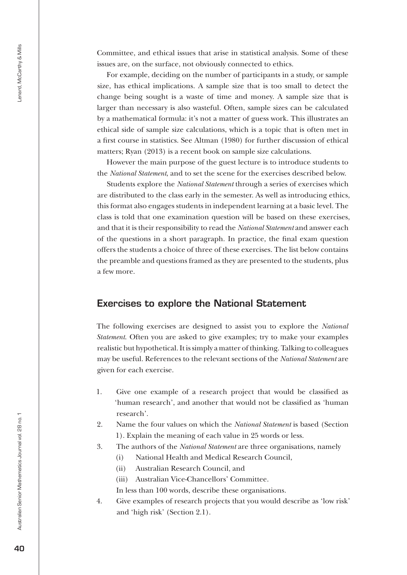Committee, and ethical issues that arise in statistical analysis. Some of these issues are, on the surface, not obviously connected to ethics.

For example, deciding on the number of participants in a study, or sample size, has ethical implications. A sample size that is too small to detect the change being sought is a waste of time and money. A sample size that is larger than necessary is also wasteful. Often, sample sizes can be calculated by a mathematical formula: it's not a matter of guess work. This illustrates an ethical side of sample size calculations, which is a topic that is often met in a first course in statistics. See Altman (1980) for further discussion of ethical matters; Ryan (2013) is a recent book on sample size calculations.

However the main purpose of the guest lecture is to introduce students to the *National Statement*, and to set the scene for the exercises described below.

Students explore the *National Statement* through a series of exercises which are distributed to the class early in the semester. As well as introducing ethics, this format also engages students in independent learning at a basic level. The class is told that one examination question will be based on these exercises, and that it is their responsibility to read the *National Statement* and answer each of the questions in a short paragraph. In practice, the final exam question offers the students a choice of three of these exercises. The list below contains the preamble and questions framed as they are presented to the students, plus a few more.

#### Exercises to explore the National Statement

The following exercises are designed to assist you to explore the *National Statement*. Often you are asked to give examples; try to make your examples realistic but hypothetical. It is simply a matter of thinking. Talking to colleagues may be useful. References to the relevant sections of the *National Statement* are given for each exercise.

- 1. Give one example of a research project that would be classified as 'human research', and another that would not be classified as 'human research'.
- 2. Name the four values on which the *National Statement* is based (Section 1). Explain the meaning of each value in 25 words or less.
- 3. The authors of the *National Statement* are three organisations, namely
	- (i) National Health and Medical Research Council,
	- (ii) Australian Research Council, and
	- (iii) Australian Vice-Chancellors' Committee.
	- In less than 100 words, describe these organisations.
- 4. Give examples of research projects that you would describe as 'low risk' and 'high risk' (Section 2.1).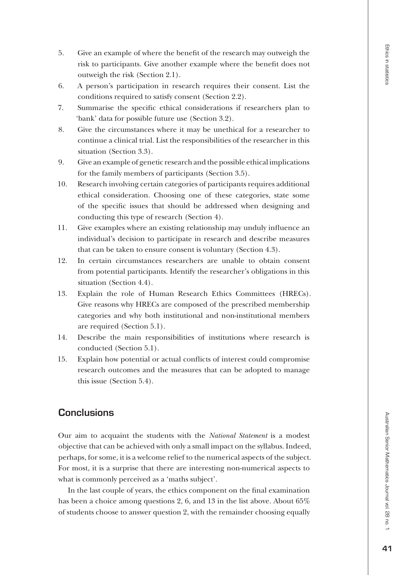- 6. A person's participation in research requires their consent. List the conditions required to satisfy consent (Section 2.2).
- 7. Summarise the specific ethical considerations if researchers plan to 'bank' data for possible future use (Section 3.2).
- 8. Give the circumstances where it may be unethical for a researcher to continue a clinical trial. List the responsibilities of the researcher in this situation (Section 3.3).
- 9. Give an example of genetic research and the possible ethical implications for the family members of participants (Section 3.5).
- 10. Research involving certain categories of participants requires additional ethical consideration. Choosing one of these categories, state some of the specific issues that should be addressed when designing and conducting this type of research (Section 4).
- 11. Give examples where an existing relationship may unduly influence an individual's decision to participate in research and describe measures that can be taken to ensure consent is voluntary (Section 4.3).
- 12. In certain circumstances researchers are unable to obtain consent from potential participants. Identify the researcher's obligations in this situation (Section 4.4).
- 13. Explain the role of Human Research Ethics Committees (HRECs). Give reasons why HRECs are composed of the prescribed membership categories and why both institutional and non-institutional members are required (Section 5.1).
- 14. Describe the main responsibilities of institutions where research is conducted (Section 5.1).
- 15. Explain how potential or actual conflicts of interest could compromise research outcomes and the measures that can be adopted to manage this issue (Section 5.4).

# **Conclusions**

Our aim to acquaint the students with the *National Statement* is a modest objective that can be achieved with only a small impact on the syllabus. Indeed, perhaps, for some, it is a welcome relief to the numerical aspects of the subject. For most, it is a surprise that there are interesting non-numerical aspects to what is commonly perceived as a 'maths subject'.

In the last couple of years, the ethics component on the final examination has been a choice among questions 2, 6, and 13 in the list above. About 65% of students choose to answer question 2, with the remainder choosing equally